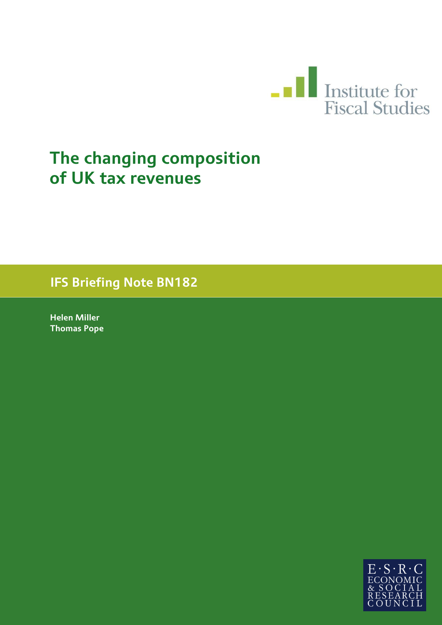

# **The changing composition of UK tax revenues**

**IFS Briefing Note BN182**

**Helen Miller Thomas Pope**

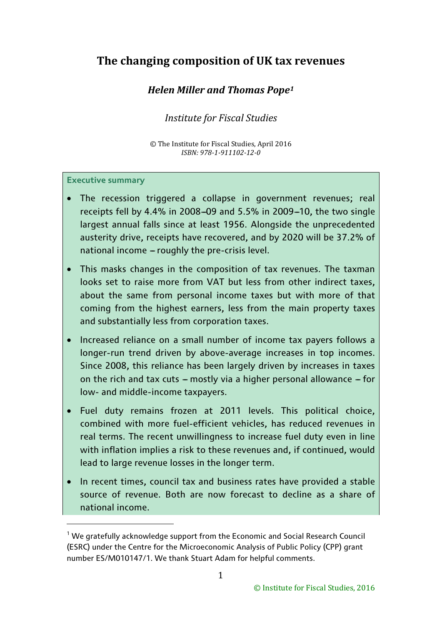# **The changing composition of UK tax revenues**

# *Helen Miller and Thomas Pope[1](#page-1-0)*

## *Institute for Fiscal Studies*

© The Institute for Fiscal Studies, April 2016 *ISBN: 978-1-911102-12-0*

#### **Executive summary**

- The recession triggered a collapse in government revenues; real receipts fell by 4.4% in 2008-09 and 5.5% in 2009-10, the two single largest annual falls since at least 1956. Alongside the unprecedented austerity drive, receipts have recovered, and by 2020 will be 37.2% of national income  $-$  roughly the pre-crisis level.
- This masks changes in the composition of tax revenues. The taxman looks set to raise more from VAT but less from other indirect taxes, about the same from personal income taxes but with more of that coming from the highest earners, less from the main property taxes and substantially less from corporation taxes.
- Increased reliance on a small number of income tax payers follows a longer-run trend driven by above-average increases in top incomes. Since 2008, this reliance has been largely driven by increases in taxes on the rich and tax cuts  $-$  mostly via a higher personal allowance  $-$  for low- and middle-income taxpayers.
- Fuel duty remains frozen at 2011 levels. This political choice, combined with more fuel-efficient vehicles, has reduced revenues in real terms. The recent unwillingness to increase fuel duty even in line with inflation implies a risk to these revenues and, if continued, would lead to large revenue losses in the longer term.
- In recent times, council tax and business rates have provided a stable source of revenue. Both are now forecast to decline as a share of national income.

<span id="page-1-0"></span> $1$  We gratefully acknowledge support from the Economic and Social Research Council (ESRC) under the Centre for the Microeconomic Analysis of Public Policy (CPP) grant number ES/M010147/1. We thank Stuart Adam for helpful comments.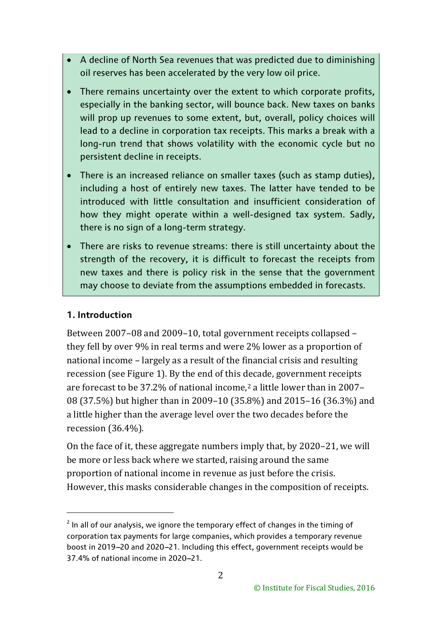- A decline of North Sea revenues that was predicted due to diminishing oil reserves has been accelerated by the very low oil price.
- There remains uncertainty over the extent to which corporate profits, especially in the banking sector, will bounce back. New taxes on banks will prop up revenues to some extent, but, overall, policy choices will lead to a decline in corporation tax receipts. This marks a break with a long-run trend that shows volatility with the economic cycle but no persistent decline in receipts.
- There is an increased reliance on smaller taxes (such as stamp duties), including a host of entirely new taxes. The latter have tended to be introduced with little consultation and insufficient consideration of how they might operate within a well-designed tax system. Sadly, there is no sign of a long-term strategy.
- There are risks to revenue streams: there is still uncertainty about the strength of the recovery, it is difficult to forecast the receipts from new taxes and there is policy risk in the sense that the government may choose to deviate from the assumptions embedded in forecasts.

## **1. Introduction**

<u>.</u>

Between 2007–08 and 2009–10, total government receipts collapsed – they fell by over 9% in real terms and were 2% lower as a proportion of national income – largely as a result of the financial crisis and resulting recession (see Figure 1). By the end of this decade, government receipts are forecast to be 37.2% of national income,[2](#page-2-0) a little lower than in 2007– 08 (37.5%) but higher than in 2009–10 (35.8%) and 2015–16 (36.3%) and a little higher than the average level over the two decades before the recession (36.4%).

On the face of it, these aggregate numbers imply that, by 2020–21, we will be more or less back where we started, raising around the same proportion of national income in revenue as just before the crisis. However, this masks considerable changes in the composition of receipts.

<span id="page-2-0"></span> $2$  In all of our analysis. we ignore the temporary effect of changes in the timing of corporation tax payments for large companies, which provides a temporary revenue boost in 2019-20 and 2020-21. Including this effect, government receipts would be 37.4% of national income in 2020-21.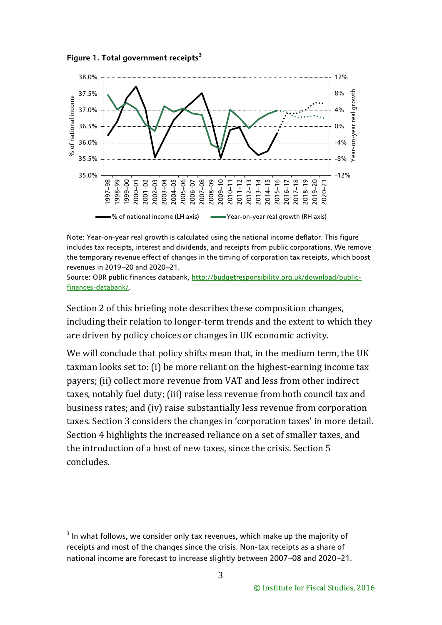



Note: Year-on-year real growth is calculated using the national income deflator. This figure includes tax receipts, interest and dividends, and receipts from public corporations. We remove the temporary revenue effect of changes in the timing of corporation tax receipts, which boost revenues in 2019-20 and 2020-21.

Source: OBR public finances databank, [http://budgetresponsibility.org.uk/download/public](http://budgetresponsibility.org.uk/download/public-finances-databank/)[finances-databank/.](http://budgetresponsibility.org.uk/download/public-finances-databank/)

Section 2 of this briefing note describes these composition changes, including their relation to longer-term trends and the extent to which they are driven by policy choices or changes in UK economic activity.

We will conclude that policy shifts mean that, in the medium term, the UK taxman looks set to: (i) be more reliant on the highest-earning income tax payers; (ii) collect more revenue from VAT and less from other indirect taxes, notably fuel duty; (iii) raise less revenue from both council tax and business rates; and (iv) raise substantially less revenue from corporation taxes. Section 3 considers the changes in 'corporation taxes' in more detail. Section 4 highlights the increased reliance on a set of smaller taxes, and the introduction of a host of new taxes, since the crisis. Section 5 concludes.

<span id="page-3-0"></span> $3$  In what follows, we consider only tax revenues, which make up the majority of receipts and most of the changes since the crisis. Non-tax receipts as a share of national income are forecast to increase slightly between 2007-08 and 2020-21.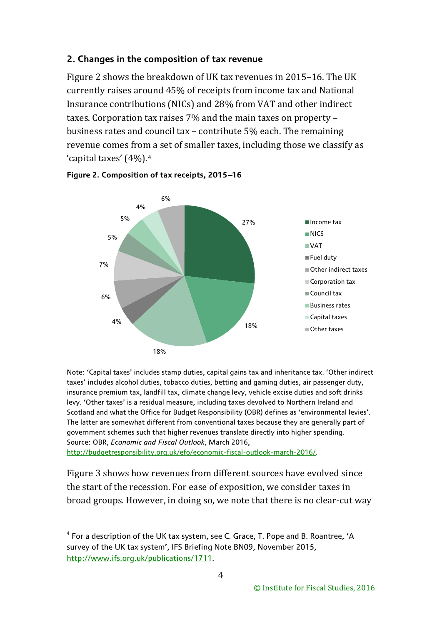#### **2. Changes in the composition of tax revenue**

Figure 2 shows the breakdown of UK tax revenues in 2015–16. The UK currently raises around 45% of receipts from income tax and National Insurance contributions (NICs) and 28% from VAT and other indirect taxes. Corporation tax raises 7% and the main taxes on property – business rates and council tax – contribute 5% each. The remaining revenue comes from a set of smaller taxes, including those we classify as 'capital taxes' (4%).[4](#page-4-0)





Note: 'Capital taxes' includes stamp duties, capital gains tax and inheritance tax. 'Other indirect taxes' includes alcohol duties, tobacco duties, betting and gaming duties, air passenger duty, insurance premium tax, landfill tax, climate change levy, vehicle excise duties and soft drinks levy. 'Other taxes' is a residual measure, including taxes devolved to Northern Ireland and Scotland and what the Office for Budget Responsibility (OBR) defines as 'environmental levies'. The latter are somewhat different from conventional taxes because they are generally part of government schemes such that higher revenues translate directly into higher spending. Source: OBR, *Economic and Fiscal Outlook*, March 2016,

[http://budgetresponsibility.org.uk/efo/economic-fiscal-outlook-march-2016/.](http://budgetresponsibility.org.uk/efo/economic-fiscal-outlook-march-2016/)

-

Figure 3 shows how revenues from different sources have evolved since the start of the recession. For ease of exposition, we consider taxes in broad groups. However, in doing so, we note that there is no clear-cut way

<span id="page-4-0"></span><sup>4</sup> For a description of the UK tax system, see C. Grace, T. Pope and B. Roantree, 'A survey of the UK tax system', IFS Briefing Note BN09, November 2015, [http://www.ifs.org.uk/publications/1711.](http://www.ifs.org.uk/publications/1711)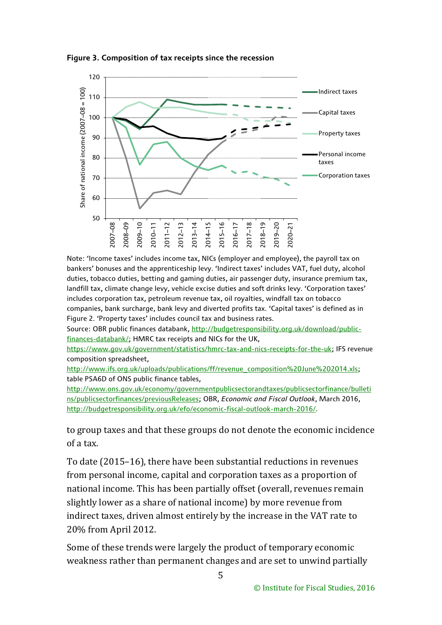

**Figure 3. Composition of tax receipts since the recession**

Note: 'Income taxes' includes income tax, NICs (employer and employee), the payroll tax on bankers' bonuses and the apprenticeship levy. 'Indirect taxes' includes VAT, fuel duty, alcohol duties, tobacco duties, betting and gaming duties, air passenger duty, insurance premium tax, landfill tax, climate change levy, vehicle excise duties and soft drinks levy. 'Corporation taxes' includes corporation tax, petroleum revenue tax, oil royalties, windfall tax on tobacco companies, bank surcharge, bank levy and diverted profits tax. 'Capital taxes' is defined as in Figure 2. 'Property taxes' includes council tax and business rates.

Source: OBR public finances databank, [http://budgetresponsibility.org.uk/download/public](http://budgetresponsibility.org.uk/download/public-finances-databank/)[finances-databank/;](http://budgetresponsibility.org.uk/download/public-finances-databank/) HMRC tax receipts and NICs for the UK,

[https://www.gov.uk/government/statistics/hmrc-tax-and-nics-receipts-for-the-uk;](https://www.gov.uk/government/statistics/hmrc-tax-and-nics-receipts-for-the-uk) IFS revenue composition spreadsheet,

[http://www.ifs.org.uk/uploads/publications/ff/revenue\\_composition%20June%202014.xls;](http://www.ifs.org.uk/uploads/publications/ff/revenue_composition%20June%202014.xls) table PSA6D of ONS public finance tables,

[http://www.ons.gov.uk/economy/governmentpublicsectorandtaxes/publicsectorfinance/bulleti](http://www.ons.gov.uk/economy/governmentpublicsectorandtaxes/publicsectorfinance/bulletins/publicsectorfinances/previousReleases) [ns/publicsectorfinances/previousReleases;](http://www.ons.gov.uk/economy/governmentpublicsectorandtaxes/publicsectorfinance/bulletins/publicsectorfinances/previousReleases) OBR, *Economic and Fiscal Outlook*, March 2016, [http://budgetresponsibility.org.uk/efo/economic-fiscal-outlook-march-2016/.](http://budgetresponsibility.org.uk/efo/economic-fiscal-outlook-march-2016/)

to group taxes and that these groups do not denote the economic incidence of a tax.

To date (2015–16), there have been substantial reductions in revenues from personal income, capital and corporation taxes as a proportion of national income. This has been partially offset (overall, revenues remain slightly lower as a share of national income) by more revenue from indirect taxes, driven almost entirely by the increase in the VAT rate to 20% from April 2012.

Some of these trends were largely the product of temporary economic weakness rather than permanent changes and are set to unwind partially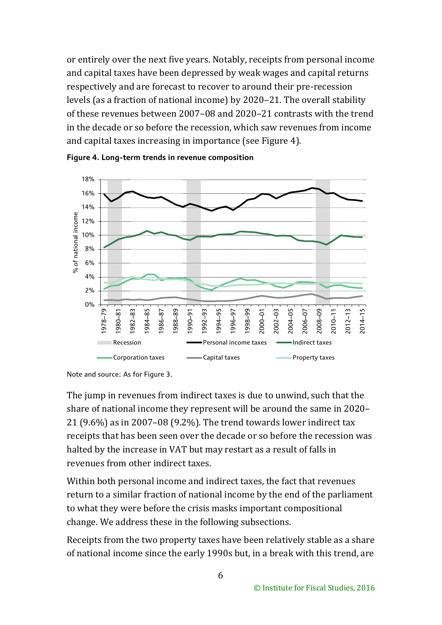or entirely over the next five years. Notably, receipts from personal income and capital taxes have been depressed by weak wages and capital returns respectively and are forecast to recover to around their pre-recession levels (as a fraction of national income) by 2020–21. The overall stability of these revenues between 2007–08 and 2020–21 contrasts with the trend in the decade or so before the recession, which saw revenues from income and capital taxes increasing in importance (see Figure 4).





The jump in revenues from indirect taxes is due to unwind, such that the share of national income they represent will be around the same in 2020– 21 (9.6%) as in 2007–08 (9.2%). The trend towards lower indirect tax receipts that has been seen over the decade or so before the recession was halted by the increase in VAT but may restart as a result of falls in revenues from other indirect taxes.

Within both personal income and indirect taxes, the fact that revenues return to a similar fraction of national income by the end of the parliament to what they were before the crisis masks important compositional change. We address these in the following subsections.

Receipts from the two property taxes have been relatively stable as a share of national income since the early 1990s but, in a break with this trend, are

Note and source: As for Figure 3.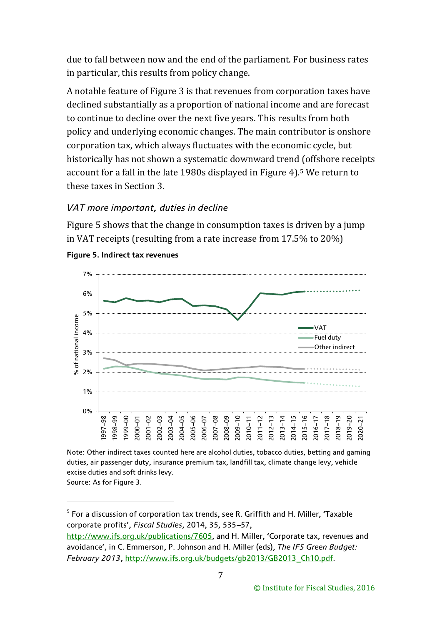due to fall between now and the end of the parliament. For business rates in particular, this results from policy change.

A notable feature of Figure 3 is that revenues from corporation taxes have declined substantially as a proportion of national income and are forecast to continue to decline over the next five years. This results from both policy and underlying economic changes. The main contributor is onshore corporation tax, which always fluctuates with the economic cycle, but historically has not shown a systematic downward trend (offshore receipts account for a fall in the late 1980s displayed in Figure 4).[5](#page-7-0) We return to these taxes in Section 3.

## *VAT more important, duties in decline*

Figure 5 shows that the change in consumption taxes is driven by a jump in VAT receipts (resulting from a rate increase from 17.5% to 20%)



#### **Figure 5. Indirect tax revenues**

Note: Other indirect taxes counted here are alcohol duties, tobacco duties, betting and gaming duties, air passenger duty, insurance premium tax, landfill tax, climate change levy, vehicle excise duties and soft drinks levy.

Source: As for Figure 3.

<span id="page-7-0"></span> $5$  For a discussion of corporation tax trends, see R. Griffith and H. Miller, 'Taxable corporate profits', Fiscal Studies, 2014, 35, 535-57,

[http://www.ifs.org.uk/publications/7605,](http://www.ifs.org.uk/publications/7605) and H. Miller, 'Corporate tax, revenues and avoidance', in C. Emmerson, P. Johnson and H. Miller (eds), *The IFS Green Budget: February 2013*, [http://www.ifs.org.uk/budgets/gb2013/GB2013\\_Ch10.pdf.](http://www.ifs.org.uk/budgets/gb2013/GB2013_Ch10.pdf)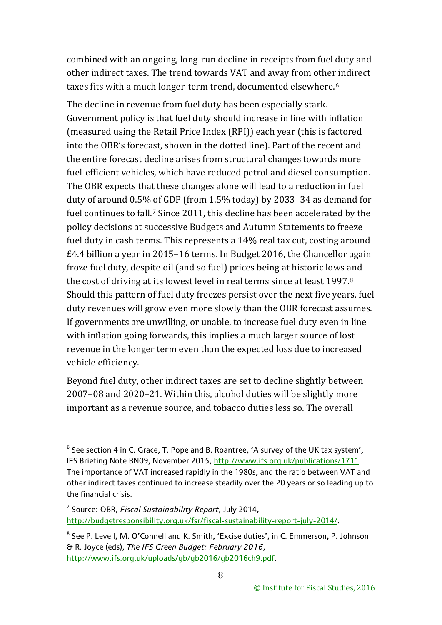combined with an ongoing, long-run decline in receipts from fuel duty and other indirect taxes. The trend towards VAT and away from othe[r i](#page-8-0)ndirect taxes fits with a much longer-term trend, documented elsewhere.<sup>6</sup>

The decline in revenue from fuel duty has been especially stark. Government policy is that fuel duty should increase in line with inflation (measured using the Retail Price Index (RPI)) each year (this is factored into the OBR's forecast, shown in the dotted line). Part of the recent and the entire forecast decline arises from structural changes towards more fuel-efficient vehicles, which have reduced petrol and diesel consumption. The OBR expects that these changes alone will lead to a reduction in fuel duty of around 0.5% of GDP (from 1.5% today) by 2033–34 as demand for fuel continues to fall.[7](#page-8-1) Since 2011, this decline has been accelerated by the policy decisions at successive Budgets and Autumn Statements to freeze fuel duty in cash terms. This represents a 14% real tax cut, costing around £4.4 billion a year in 2015–16 terms. In Budget 2016, the Chancellor again froze fuel duty, despite oil (and so fuel) prices being at historic lows and the cost of driving at its lowest level in real terms since at least 1997.[8](#page-8-2) Should this pattern of fuel duty freezes persist over the next five years, fuel duty revenues will grow even more slowly than the OBR forecast assumes. If governments are unwilling, or unable, to increase fuel duty even in line with inflation going forwards, this implies a much larger source of lost revenue in the longer term even than the expected loss due to increased vehicle efficiency.

Beyond fuel duty, other indirect taxes are set to decline slightly between 2007–08 and 2020–21. Within this, alcohol duties will be slightly more important as a revenue source, and tobacco duties less so. The overall

<u>.</u>

<span id="page-8-0"></span> $6$  See section 4 in C. Grace, T. Pope and B. Roantree, 'A survey of the UK tax system', IFS Briefing Note BN09, November 2015, [http://www.ifs.org.uk/publications/1711.](http://www.ifs.org.uk/publications/1711) The importance of VAT increased rapidly in the 1980s, and the ratio between VAT and other indirect taxes continued to increase steadily over the 20 years or so leading up to the financial crisis.

<span id="page-8-1"></span><sup>7</sup> Source: OBR, *Fiscal Sustainability Report*, July 2014, [http://budgetresponsibility.org.uk/fsr/fiscal-sustainability-report-july-2014/.](http://budgetresponsibility.org.uk/fsr/fiscal-sustainability-report-july-2014/)

<span id="page-8-2"></span><sup>&</sup>lt;sup>8</sup> See P. Levell, M. O'Connell and K. Smith, 'Excise duties', in C. Emmerson, P. Johnson & R. Joyce (eds), *The IFS Green Budget: February 2016*, [http://www.ifs.org.uk/uploads/gb/gb2016/gb2016ch9.pdf.](http://www.ifs.org.uk/uploads/gb/gb2016/gb2016ch9.pdf)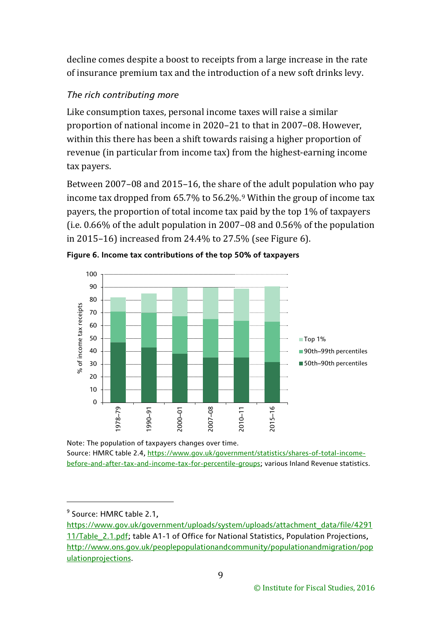decline comes despite a boost to receipts from a large increase in the rate of insurance premium tax and the introduction of a new soft drinks levy.

# *The rich contributing more*

Like consumption taxes, personal income taxes will raise a similar proportion of national income in 2020–21 to that in 2007–08. However, within this there has been a shift towards raising a higher proportion of revenue (in particular from income tax) from the highest-earning income tax payers.

Between 2007–08 and 2015–16, the share of the adult population who pay income tax dropped from 65.7% to 56.2%.[9](#page-9-0) Within the group of income tax payers, the proportion of total income tax paid by the top 1% of taxpayers (i.e. 0.66% of the adult population in 2007–08 and 0.56% of the population in 2015–16) increased from 24.4% to 27.5% (see Figure 6).





Note: The population of taxpayers changes over time. Source: HMRC table 2.4, [https://www.gov.uk/government/statistics/shares-of-total-income](https://www.gov.uk/government/statistics/shares-of-total-income-before-and-after-tax-and-income-tax-for-percentile-groups)[before-and-after-tax-and-income-tax-for-percentile-groups;](https://www.gov.uk/government/statistics/shares-of-total-income-before-and-after-tax-and-income-tax-for-percentile-groups) various Inland Revenue statistics.

<span id="page-9-0"></span><sup>&</sup>lt;sup>9</sup> Source: HMRC table 2.1,

[https://www.gov.uk/government/uploads/system/uploads/attachment\\_data/file/4291](https://www.gov.uk/government/uploads/system/uploads/attachment_data/file/429111/Table_2.1.pdf) 11/Table 2.1.pdf; table A1-1 of Office for National Statistics, Population Projections, [http://www.ons.gov.uk/peoplepopulationandcommunity/populationandmigration/pop](http://www.ons.gov.uk/peoplepopulationandcommunity/populationandmigration/populationprojections) [ulationprojections.](http://www.ons.gov.uk/peoplepopulationandcommunity/populationandmigration/populationprojections)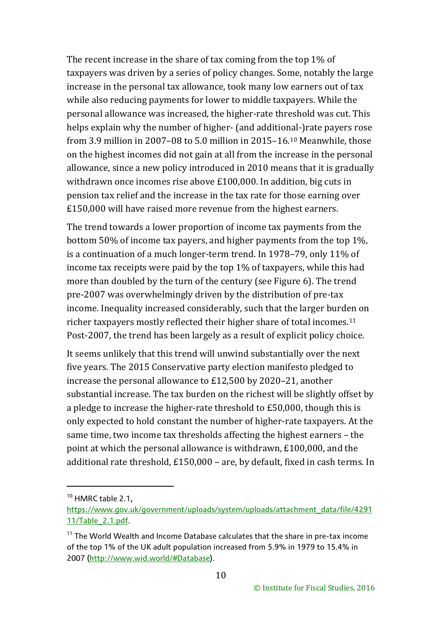The recent increase in the share of tax coming from the top 1% of taxpayers was driven by a series of policy changes. Some, notably the large increase in the personal tax allowance, took many low earners out of tax while also reducing payments for lower to middle taxpayers. While the personal allowance was increased, the higher-rate threshold was cut. This helps explain why the number of higher- (and additional-)rate payers rose from 3.9 million in 2007–08 to 5.0 million in 2015–16.[10](#page-10-0) Meanwhile, those on the highest incomes did not gain at all from the increase in the personal allowance, since a new policy introduced in 2010 means that it is gradually withdrawn once incomes rise above £100,000. In addition, big cuts in pension tax relief and the increase in the tax rate for those earning over £150,000 will have raised more revenue from the highest earners.

The trend towards a lower proportion of income tax payments from the bottom 50% of income tax payers, and higher payments from the top 1%, is a continuation of a much longer-term trend. In 1978–79, only 11% of income tax receipts were paid by the top 1% of taxpayers, while this had more than doubled by the turn of the century (see Figure 6). The trend pre-2007 was overwhelmingly driven by the distribution of pre-tax income. Inequality increased considerably, such that the larger burden on richer taxpayers mostly reflected their higher share of total incomes.[11](#page-10-1) Post-2007, the trend has been largely as a result of explicit policy choice.

It seems unlikely that this trend will unwind substantially over the next five years. The 2015 Conservative party election manifesto pledged to increase the personal allowance to £12,500 by 2020–21, another substantial increase. The tax burden on the richest will be slightly offset by a pledge to increase the higher-rate threshold to £50,000, though this is only expected to hold constant the number of higher-rate taxpayers. At the same time, two income tax thresholds affecting the highest earners – the point at which the personal allowance is withdrawn, £100,000, and the additional rate threshold, £150,000 – are, by default, fixed in cash terms. In

<span id="page-10-0"></span><sup>&</sup>lt;sup>10</sup> HMRC table 2.1,

[https://www.gov.uk/government/uploads/system/uploads/attachment\\_data/file/4291](https://www.gov.uk/government/uploads/system/uploads/attachment_data/file/429111/Table_2.1.pdf) [11/Table\\_2.1.pdf.](https://www.gov.uk/government/uploads/system/uploads/attachment_data/file/429111/Table_2.1.pdf)

<span id="page-10-1"></span> $11$  The World Wealth and Income Database calculates that the share in pre-tax income of the top 1% of the UK adult population increased from 5.9% in 1979 to 15.4% in 2007 [\(http://www.wid.world/#Database\)](http://www.wid.world/#Database).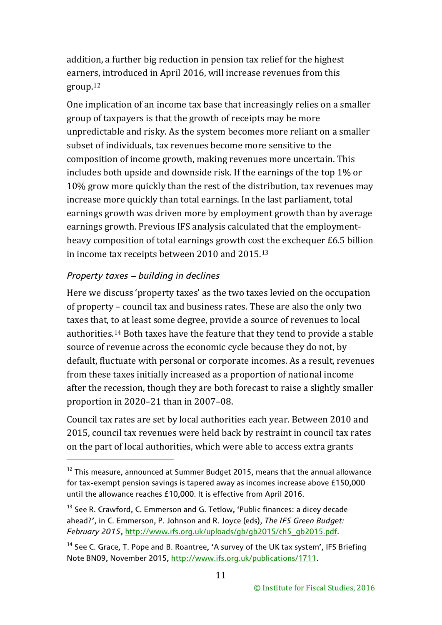addition, a further big reduction in pension tax relief for the highest earners, introduced in April 2016, will increase revenues from this group.[12](#page-11-0)

One implication of an income tax base that increasingly relies on a smaller group of taxpayers is that the growth of receipts may be more unpredictable and risky. As the system becomes more reliant on a smaller subset of individuals, tax revenues become more sensitive to the composition of income growth, making revenues more uncertain. This includes both upside and downside risk. If the earnings of the top 1% or 10% grow more quickly than the rest of the distribution, tax revenues may increase more quickly than total earnings. In the last parliament, total earnings growth was driven more by employment growth than by average earnings growth. Previous IFS analysis calculated that the employmentheavy composition of total earnings growth cost the exchequer £6.5 billion in income tax receipts between 2010 and 2015.[13](#page-11-1)

## *Property taxes - building in declines*

-

Here we discuss 'property taxes' as the two taxes levied on the occupation of property – council tax and business rates. These are also the only two taxes that, to at least some degree, provide a source of revenues to local authorities.[14](#page-11-2) Both taxes have the feature that they tend to provide a stable source of revenue across the economic cycle because they do not, by default, fluctuate with personal or corporate incomes. As a result, revenues from these taxes initially increased as a proportion of national income after the recession, though they are both forecast to raise a slightly smaller proportion in 2020–21 than in 2007–08.

Council tax rates are set by local authorities each year. Between 2010 and 2015, council tax revenues were held back by restraint in council tax rates on the part of local authorities, which were able to access extra grants

<span id="page-11-0"></span> $12$  This measure, announced at Summer Budget 2015, means that the annual allowance for tax-exempt pension savings is tapered away as incomes increase above £150,000 until the allowance reaches £10,000. It is effective from April 2016.

<span id="page-11-1"></span><sup>&</sup>lt;sup>13</sup> See R. Crawford, C. Emmerson and G. Tetlow, 'Public finances: a dicey decade ahead?', in C. Emmerson, P. Johnson and R. Joyce (eds), *The IFS Green Budget: February 2015*, [http://www.ifs.org.uk/uploads/gb/gb2015/ch5\\_gb2015.pdf.](http://www.ifs.org.uk/uploads/gb/gb2015/ch5_gb2015.pdf)

<span id="page-11-2"></span><sup>&</sup>lt;sup>14</sup> See C. Grace, T. Pope and B. Roantree, 'A survey of the UK tax system', IFS Briefing Note BN09, November 2015, [http://www.ifs.org.uk/publications/1711.](http://www.ifs.org.uk/publications/1711)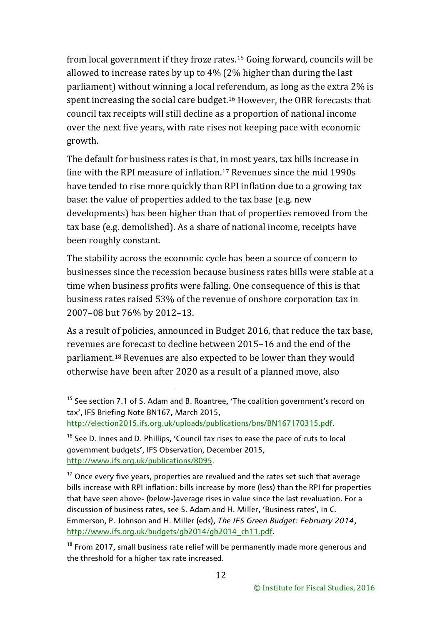from local government if they froze rates.[15](#page-12-0) Going forward, councils will be allowed to increase rates by up to 4% (2% higher than during the last parliament) without winning a local referendum, as long as the extra 2% is spent increasing the social care budget.[16](#page-12-1) However, the OBR forecasts that council tax receipts will still decline as a proportion of national income over the next five years, with rate rises not keeping pace with economic growth.

The default for business rates is that, in most years, tax bills increase in line with the RPI measure of inflation.[17](#page-12-2) Revenues since the mid 1990s have tended to rise more quickly than RPI inflation due to a growing tax base: the value of properties added to the tax base (e.g. new developments) has been higher than that of properties removed from the tax base (e.g. demolished). As a share of national income, receipts have been roughly constant.

The stability across the economic cycle has been a source of concern to businesses since the recession because business rates bills were stable at a time when business profits were falling. One consequence of this is that business rates raised 53% of the revenue of onshore corporation tax in 2007–08 but 76% by 2012–13.

As a result of policies, announced in Budget 2016, that reduce the tax base, revenues are forecast to decline between 2015–16 and the end of the parliament.[18](#page-12-3) Revenues are also expected to be lower than they would otherwise have been after 2020 as a result of a planned move, also

<span id="page-12-0"></span><sup>&</sup>lt;sup>15</sup> See section 7.1 of S. Adam and B. Roantree, 'The coalition government's record on tax', IFS Briefing Note BN167, March 2015,

[http://election2015.ifs.org.uk/uploads/publications/bns/BN167170315.pdf.](http://election2015.ifs.org.uk/uploads/publications/bns/BN167170315.pdf)

<span id="page-12-1"></span><sup>&</sup>lt;sup>16</sup> See D. Innes and D. Phillips, 'Council tax rises to ease the pace of cuts to local government budgets', IFS Observation, December 2015, [http://www.ifs.org.uk/publications/8095.](http://www.ifs.org.uk/publications/8095)

<span id="page-12-2"></span> $17$  Once every five years, properties are revalued and the rates set such that average bills increase with RPI inflation: bills increase by more (less) than the RPI for properties that have seen above- (below-)average rises in value since the last revaluation. For a discussion of business rates, see S. Adam and H. Miller, 'Business rates', in C. Emmerson, P. Johnson and H. Miller (eds), *The IFS Green Budget: February 2014*, [http://www.ifs.org.uk/budgets/gb2014/gb2014\\_ch11.pdf.](http://www.ifs.org.uk/budgets/gb2014/gb2014_ch11.pdf)

<span id="page-12-3"></span> $18$  From 2017, small business rate relief will be permanently made more generous and the threshold for a higher tax rate increased.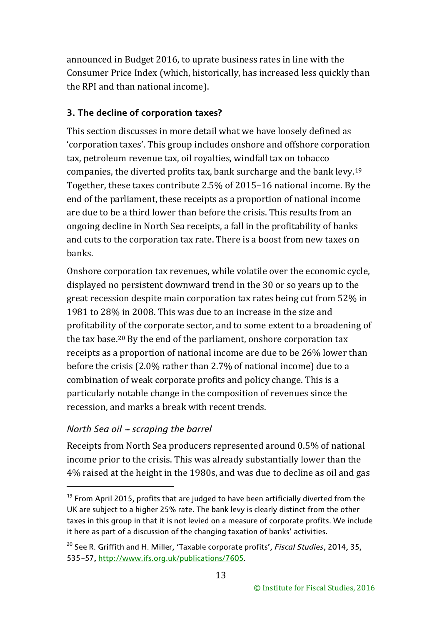announced in Budget 2016, to uprate business rates in line with the Consumer Price Index (which, historically, has increased less quickly than the RPI and than national income).

## **3. The decline of corporation taxes?**

This section discusses in more detail what we have loosely defined as 'corporation taxes'. This group includes onshore and offshore corporation tax, petroleum revenue tax, oil royalties, windfall tax on tobacco companies, the diverted profits tax, bank surcharge and the bank levy.[19](#page-13-0) Together, these taxes contribute 2.5% of 2015–16 national income. By the end of the parliament, these receipts as a proportion of national income are due to be a third lower than before the crisis. This results from an ongoing decline in North Sea receipts, a fall in the profitability of banks and cuts to the corporation tax rate. There is a boost from new taxes on banks.

Onshore corporation tax revenues, while volatile over the economic cycle, displayed no persistent downward trend in the 30 or so years up to the great recession despite main corporation tax rates being cut from 52% in 1981 to 28% in 2008. This was due to an increase in the size and profitability of the corporate sector, and to some extent to a broadening of the tax base.[20](#page-13-1) By the end of the parliament, onshore corporation tax receipts as a proportion of national income are due to be 26% lower than before the crisis (2.0% rather than 2.7% of national income) due to a combination of weak corporate profits and policy change. This is a particularly notable change in the composition of revenues since the recession, and marks a break with recent trends.

## *North Sea oil – scraping the barrel*

-

Receipts from North Sea producers represented around 0.5% of national income prior to the crisis. This was already substantially lower than the 4% raised at the height in the 1980s, and was due to decline as oil and gas

<span id="page-13-0"></span> $19$  From April 2015, profits that are judged to have been artificially diverted from the UK are subject to a higher 25% rate. The bank levy is clearly distinct from the other taxes in this group in that it is not levied on a measure of corporate profits. We include it here as part of a discussion of the changing taxation of banks' activities.

<span id="page-13-1"></span><sup>20</sup> See R. Griffith and H. Miller, 'Taxable corporate profits', *[Fiscal Studies](http://ideas.repec.org/s/ifs/fistud.html)*, 2014, 35, 535-57, [http://www.ifs.org.uk/publications/7605.](http://www.ifs.org.uk/publications/7605)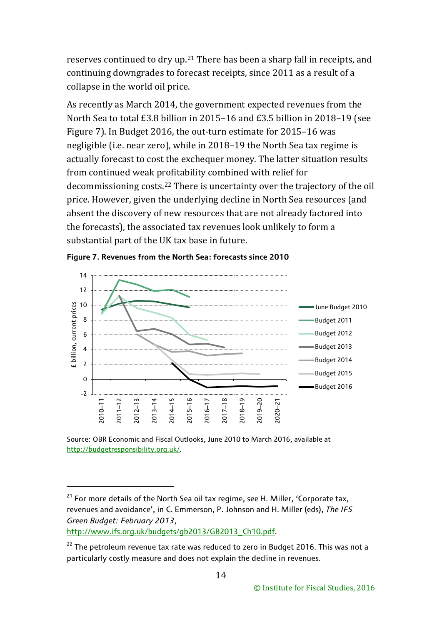reserves continued to dry up.[21](#page-14-0) There has been a sharp fall in receipts, and continuing downgrades to forecast receipts, since 2011 as a result of a collapse in the world oil price.

As recently as March 2014, the government expected revenues from the North Sea to total £3.8 billion in 2015–16 and £3.5 billion in 2018–19 (see Figure 7). In Budget 2016, the out-turn estimate for 2015–16 was negligible (i.e. near zero), while in 2018–19 the North Sea tax regime is actually forecast to cost the exchequer money. The latter situation results from continued weak profitability combined with relief for decommissioning costs.[22](#page-14-1) There is uncertainty over the trajectory of the oil price. However, given the underlying decline in North Sea resources (and absent the discovery of new resources that are not already factored into the forecasts), the associated tax revenues look unlikely to form a substantial part of the UK tax base in future.



**Figure 7. Revenues from the North Sea: forecasts since 2010**

Source: OBR Economic and Fiscal Outlooks, June 2010 to March 2016, available at [http://budgetresponsibility.org.uk/.](http://budgetresponsibility.org.uk/)

<span id="page-14-0"></span> $21$  For more details of the North Sea oil tax regime, see H. Miller, 'Corporate tax, revenues and avoidance', in C. Emmerson, P. Johnson and H. Miller (eds), *The IFS Green Budget: February 2013*,

[http://www.ifs.org.uk/budgets/gb2013/GB2013\\_Ch10.pdf.](http://www.ifs.org.uk/budgets/gb2013/GB2013_Ch10.pdf)

<span id="page-14-1"></span> $22$  The petroleum revenue tax rate was reduced to zero in Budget 2016. This was not a particularly costly measure and does not explain the decline in revenues.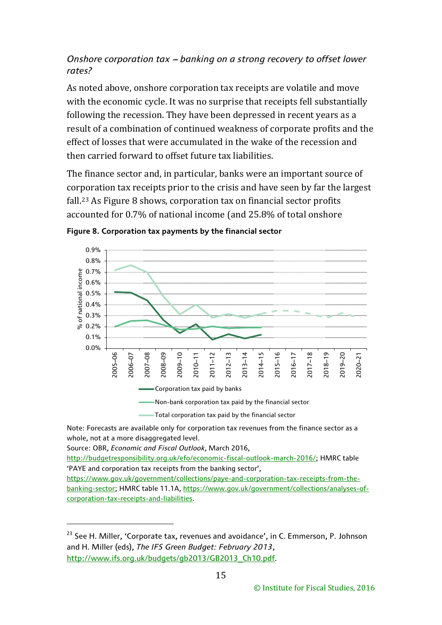## *<u>Onshore corporation tax – banking on a strong recovery to offset lower</u> rates?*

As noted above, onshore corporation tax receipts are volatile and move with the economic cycle. It was no surprise that receipts fell substantially following the recession. They have been depressed in recent years as a result of a combination of continued weakness of corporate profits and the effect of losses that were accumulated in the wake of the recession and then carried forward to offset future tax liabilities.

The finance sector and, in particular, banks were an important source of corporation tax receipts prior to the crisis and have seen by far the largest fall.[23](#page-15-0) As Figure 8 shows, corporation tax on financial sector profits accounted for 0.7% of national income (and 25.8% of total onshore



**Figure 8. Corporation tax payments by the financial sector**

Note: Forecasts are available only for corporation tax revenues from the finance sector as a whole, not at a more disaggregated level.

Source: OBR, *Economic and Fiscal Outlook*, March 2016,

-

[http://budgetresponsibility.org.uk/efo/economic-fiscal-outlook-march-2016/;](http://budgetresponsibility.org.uk/efo/economic-fiscal-outlook-march-2016/) HMRC table 'PAYE and corporation tax receipts from the banking sector',

[https://www.gov.uk/government/collections/paye-and-corporation-tax-receipts-from-the](https://www.gov.uk/government/collections/paye-and-corporation-tax-receipts-from-the-banking-sector)[banking-sector;](https://www.gov.uk/government/collections/paye-and-corporation-tax-receipts-from-the-banking-sector) HMRC table 11.1A, [https://www.gov.uk/government/collections/analyses-of](https://www.gov.uk/government/collections/analyses-of-corporation-tax-receipts-and-liabilities)[corporation-tax-receipts-and-liabilities.](https://www.gov.uk/government/collections/analyses-of-corporation-tax-receipts-and-liabilities)

<span id="page-15-0"></span><sup>&</sup>lt;sup>23</sup> See H. Miller, 'Corporate tax, revenues and avoidance', in C. Emmerson, P. Johnson and H. Miller (eds), *The IFS Green Budget: February 2013*, [http://www.ifs.org.uk/budgets/gb2013/GB2013\\_Ch10.pdf.](http://www.ifs.org.uk/budgets/gb2013/GB2013_Ch10.pdf)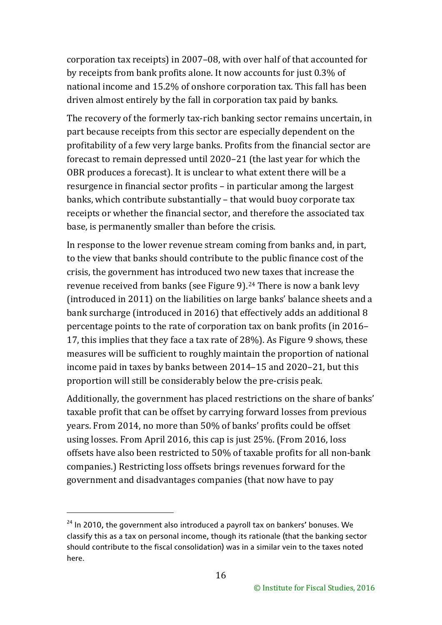corporation tax receipts) in 2007–08, with over half of that accounted for by receipts from bank profits alone. It now accounts for just 0.3% of national income and 15.2% of onshore corporation tax. This fall has been driven almost entirely by the fall in corporation tax paid by banks.

The recovery of the formerly tax-rich banking sector remains uncertain, in part because receipts from this sector are especially dependent on the profitability of a few very large banks. Profits from the financial sector are forecast to remain depressed until 2020–21 (the last year for which the OBR produces a forecast). It is unclear to what extent there will be a resurgence in financial sector profits – in particular among the largest banks, which contribute substantially – that would buoy corporate tax receipts or whether the financial sector, and therefore the associated tax base, is permanently smaller than before the crisis.

In response to the lower revenue stream coming from banks and, in part, to the view that banks should contribute to the public finance cost of the crisis, the government has introduced two new taxes that increase the revenue received from banks (see Figure 9).[24](#page-16-0) There is now a bank levy (introduced in 2011) on the liabilities on large banks' balance sheets and a bank surcharge (introduced in 2016) that effectively adds an additional 8 percentage points to the rate of corporation tax on bank profits (in 2016– 17, this implies that they face a tax rate of 28%). As Figure 9 shows, these measures will be sufficient to roughly maintain the proportion of national income paid in taxes by banks between 2014–15 and 2020–21, but this proportion will still be considerably below the pre-crisis peak.

Additionally, the government has placed restrictions on the share of banks' taxable profit that can be offset by carrying forward losses from previous years. From 2014, no more than 50% of banks' profits could be offset using losses. From April 2016, this cap is just 25%. (From 2016, loss offsets have also been restricted to 50% of taxable profits for all non-bank companies.) Restricting loss offsets brings revenues forward for the government and disadvantages companies (that now have to pay

<u>.</u>

<span id="page-16-0"></span> $24$  In 2010, the government also introduced a payroll tax on bankers' bonuses. We classify this as a tax on personal income, though its rationale (that the banking sector should contribute to the fiscal consolidation) was in a similar vein to the taxes noted here.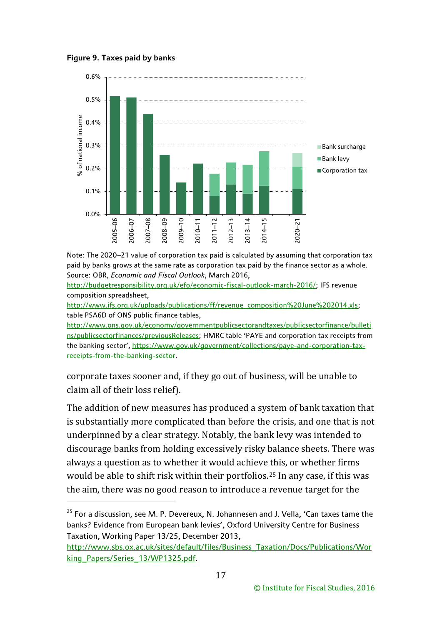**Figure 9. Taxes paid by banks**

-



Note: The 2020-21 value of corporation tax paid is calculated by assuming that corporation tax paid by banks grows at the same rate as corporation tax paid by the finance sector as a whole. Source: OBR, *Economic and Fiscal Outlook*, March 2016,

[http://budgetresponsibility.org.uk/efo/economic-fiscal-outlook-march-2016/;](http://budgetresponsibility.org.uk/efo/economic-fiscal-outlook-march-2016/) IFS revenue composition spreadsheet,

[http://www.ifs.org.uk/uploads/publications/ff/revenue\\_composition%20June%202014.xls;](http://www.ifs.org.uk/uploads/publications/ff/revenue_composition%20June%202014.xls) table PSA6D of ONS public finance tables,

[http://www.ons.gov.uk/economy/governmentpublicsectorandtaxes/publicsectorfinance/bulleti](http://www.ons.gov.uk/economy/governmentpublicsectorandtaxes/publicsectorfinance/bulletins/publicsectorfinances/previousReleases) [ns/publicsectorfinances/previousReleases;](http://www.ons.gov.uk/economy/governmentpublicsectorandtaxes/publicsectorfinance/bulletins/publicsectorfinances/previousReleases) HMRC table 'PAYE and corporation tax receipts from the banking sector', [https://www.gov.uk/government/collections/paye-and-corporation-tax](https://www.gov.uk/government/collections/paye-and-corporation-tax-receipts-from-the-banking-sector)[receipts-from-the-banking-sector.](https://www.gov.uk/government/collections/paye-and-corporation-tax-receipts-from-the-banking-sector)

corporate taxes sooner and, if they go out of business, will be unable to claim all of their loss relief).

The addition of new measures has produced a system of bank taxation that is substantially more complicated than before the crisis, and one that is not underpinned by a clear strategy. Notably, the bank levy was intended to discourage banks from holding excessively risky balance sheets. There was always a question as to whether it would achieve this, or whether firms would be able to shift risk within their portfolios.[25](#page-17-0) In any case, if this was the aim, there was no good reason to introduce a revenue target for the

<span id="page-17-0"></span> $25$  For a discussion, see M. P. Devereux, N. Johannesen and J. Vella, 'Can taxes tame the banks? Evidence from European bank levies', Oxford University Centre for Business Taxation, Working Paper 13/25, December 2013,

[http://www.sbs.ox.ac.uk/sites/default/files/Business\\_Taxation/Docs/Publications/Wor](http://www.sbs.ox.ac.uk/sites/default/files/Business_Taxation/Docs/Publications/Working_Papers/Series_13/WP1325.pdf) [king\\_Papers/Series\\_13/WP1325.pdf.](http://www.sbs.ox.ac.uk/sites/default/files/Business_Taxation/Docs/Publications/Working_Papers/Series_13/WP1325.pdf)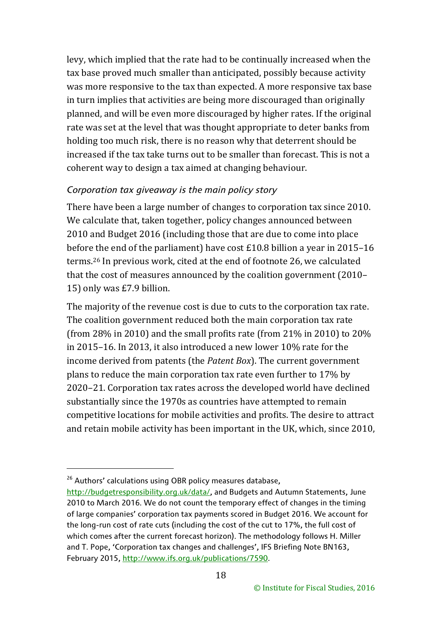levy, which implied that the rate had to be continually increased when the tax base proved much smaller than anticipated, possibly because activity was more responsive to the tax than expected. A more responsive tax base in turn implies that activities are being more discouraged than originally planned, and will be even more discouraged by higher rates. If the original rate was set at the level that was thought appropriate to deter banks from holding too much risk, there is no reason why that deterrent should be increased if the tax take turns out to be smaller than forecast. This is not a coherent way to design a tax aimed at changing behaviour.

#### *Corporation tax giveaway is the main policy story*

There have been a large number of changes to corporation tax since 2010. We calculate that, taken together, policy changes announced between 2010 and Budget 2016 (including those that are due to come into place before the end of the parliament) have cost £10.8 billion a year in 2015–16 terms.[26](#page-18-0) In previous work, cited at the end of footnote 26, we calculated that the cost of measures announced by the coalition government (2010– 15) only was £7.9 billion.

The majority of the revenue cost is due to cuts to the corporation tax rate. The coalition government reduced both the main corporation tax rate (from 28% in 2010) and the small profits rate (from 21% in 2010) to 20% in 2015–16. In 2013, it also introduced a new lower 10% rate for the income derived from patents (the *Patent Box*). The current government plans to reduce the main corporation tax rate even further to 17% by 2020–21. Corporation tax rates across the developed world have declined substantially since the 1970s as countries have attempted to remain competitive locations for mobile activities and profits. The desire to attract and retain mobile activity has been important in the UK, which, since 2010,

<span id="page-18-0"></span><sup>&</sup>lt;sup>26</sup> Authors' calculations using OBR policy measures database,

[http://budgetresponsibility.org.uk/data/,](http://budgetresponsibility.org.uk/data/) and Budgets and Autumn Statements, June 2010 to March 2016. We do not count the temporary effect of changes in the timing of large companies' corporation tax payments scored in Budget 2016. We account for the long-run cost of rate cuts (including the cost of the cut to 17%, the full cost of which comes after the current forecast horizon). The methodology follows H. Miller and T. Pope, 'Corporation tax changes and challenges', IFS Briefing Note BN163, February 2015, [http://www.ifs.org.uk/publications/7590.](http://www.ifs.org.uk/publications/7590)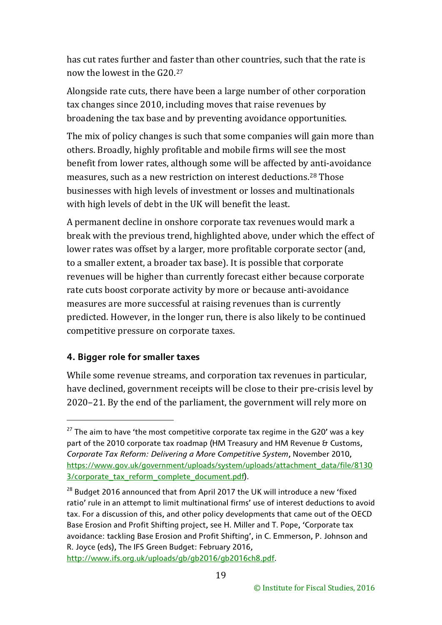has cut rates further and faster than other countries, such that the rate is now the lowest in the G20.[27](#page-19-0)

Alongside rate cuts, there have been a large number of other corporation tax changes since 2010, including moves that raise revenues by broadening the tax base and by preventing avoidance opportunities.

The mix of policy changes is such that some companies will gain more than others. Broadly, highly profitable and mobile firms will see the most benefit from lower rates, although some will be affected by anti-avoidance measures, such as a new restriction on interest deductions.[28](#page-19-1) Those businesses with high levels of investment or losses and multinationals with high levels of debt in the UK will benefit the least.

A permanent decline in onshore corporate tax revenues would mark a break with the previous trend, highlighted above, under which the effect of lower rates was offset by a larger, more profitable corporate sector (and, to a smaller extent, a broader tax base). It is possible that corporate revenues will be higher than currently forecast either because corporate rate cuts boost corporate activity by more or because anti-avoidance measures are more successful at raising revenues than is currently predicted. However, in the longer run, there is also likely to be continued competitive pressure on corporate taxes.

## **4. Bigger role for smaller taxes**

<u>.</u>

While some revenue streams, and corporation tax revenues in particular, have declined, government receipts will be close to their pre-crisis level by 2020–21. By the end of the parliament, the government will rely more on

[http://www.ifs.org.uk/uploads/gb/gb2016/gb2016ch8.pdf.](http://www.ifs.org.uk/uploads/gb/gb2016/gb2016ch8.pdf)

<span id="page-19-0"></span> $27$  The aim to have 'the most competitive corporate tax regime in the G20' was a key part of the 2010 corporate tax roadmap (HM Treasury and HM Revenue & Customs, *Corporate Tax Reform: Delivering a More Competitive System*, November 2010, [https://www.gov.uk/government/uploads/system/uploads/attachment\\_data/file/8130](https://www.gov.uk/government/uploads/system/uploads/attachment_data/file/81303/corporate_tax_reform_complete_document.pdf) [3/corporate\\_tax\\_reform\\_complete\\_document.pdf\)](https://www.gov.uk/government/uploads/system/uploads/attachment_data/file/81303/corporate_tax_reform_complete_document.pdf).

<span id="page-19-1"></span><sup>&</sup>lt;sup>28</sup> Budget 2016 announced that from April 2017 the UK will introduce a new 'fixed ratio' rule in an attempt to limit multinational firms' use of interest deductions to avoid tax. For a discussion of this, and other policy developments that came out of the OECD Base Erosion and Profit Shifting project, see H. Miller and T. Pope, 'Corporate tax avoidance: tackling Base Erosion and Profit Shifting', in C. Emmerson, P. Johnson and R. Joyce (eds), The IFS Green Budget: February 2016,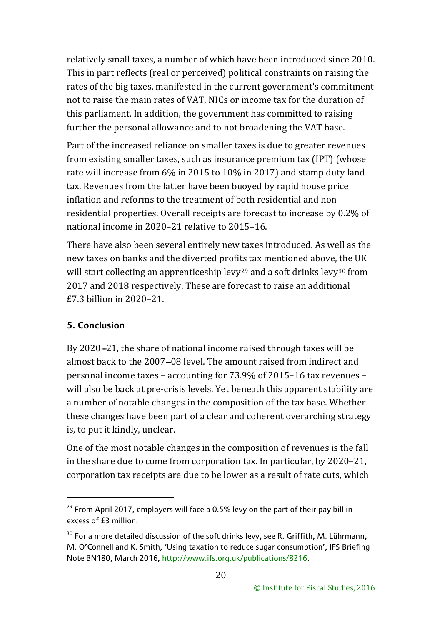relatively small taxes, a number of which have been introduced since 2010. This in part reflects (real or perceived) political constraints on raising the rates of the big taxes, manifested in the current government's commitment not to raise the main rates of VAT, NICs or income tax for the duration of this parliament. In addition, the government has committed to raising further the personal allowance and to not broadening the VAT base.

Part of the increased reliance on smaller taxes is due to greater revenues from existing smaller taxes, such as insurance premium tax (IPT) (whose rate will increase from 6% in 2015 to 10% in 2017) and stamp duty land tax. Revenues from the latter have been buoyed by rapid house price inflation and reforms to the treatment of both residential and nonresidential properties. Overall receipts are forecast to increase by 0.2% of national income in 2020–21 relative to 2015–16.

There have also been several entirely new taxes introduced. As well as the new taxes on banks and the diverted profi[ts](#page-20-0) tax mentioned above, the UK will start collecting an apprenticeship levy<sup>29</sup> and a soft drinks levy<sup>[30](#page-20-1)</sup> from 2017 and 2018 respectively. These are forecast to raise an additional £7.3 billion in 2020–21.

## **5. Conclusion**

-

By 2020-21, the share of national income raised through taxes will be almost back to the 2007–08 level. The amount raised from indirect and personal income taxes – accounting for 73.9% of 2015–16 tax revenues – will also be back at pre-crisis levels. Yet beneath this apparent stability are a number of notable changes in the composition of the tax base. Whether these changes have been part of a clear and coherent overarching strategy is, to put it kindly, unclear.

One of the most notable changes in the composition of revenues is the fall in the share due to come from corporation tax. In particular, by 2020–21, corporation tax receipts are due to be lower as a result of rate cuts, which

<span id="page-20-0"></span> $29$  From April 2017, employers will face a 0.5% levy on the part of their pay bill in excess of £3 million.

<span id="page-20-1"></span> $30$  For a more detailed discussion of the soft drinks levy, see R. Griffith, M. Lührmann, M. O'Connell and K. Smith, 'Using taxation to reduce sugar consumption', IFS Briefing Note BN180, March 2016, [http://www.ifs.org.uk/publications/8216.](http://www.ifs.org.uk/publications/8216)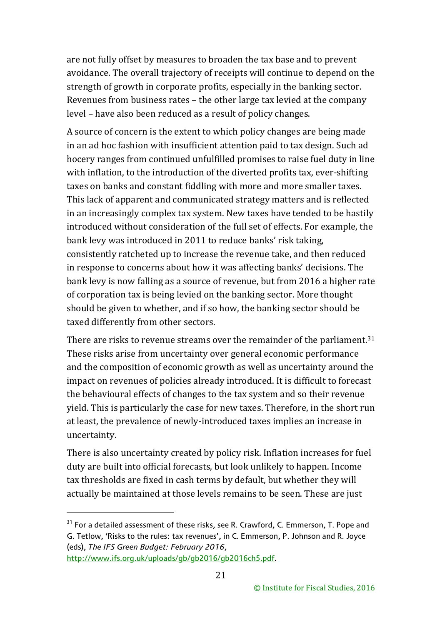are not fully offset by measures to broaden the tax base and to prevent avoidance. The overall trajectory of receipts will continue to depend on the strength of growth in corporate profits, especially in the banking sector. Revenues from business rates – the other large tax levied at the company level – have also been reduced as a result of policy changes.

A source of concern is the extent to which policy changes are being made in an ad hoc fashion with insufficient attention paid to tax design. Such ad hocery ranges from continued unfulfilled promises to raise fuel duty in line with inflation, to the introduction of the diverted profits tax, ever-shifting taxes on banks and constant fiddling with more and more smaller taxes. This lack of apparent and communicated strategy matters and is reflected in an increasingly complex tax system. New taxes have tended to be hastily introduced without consideration of the full set of effects. For example, the bank levy was introduced in 2011 to reduce banks' risk taking, consistently ratcheted up to increase the revenue take, and then reduced in response to concerns about how it was affecting banks' decisions. The bank levy is now falling as a source of revenue, but from 2016 a higher rate of corporation tax is being levied on the banking sector. More thought should be given to whether, and if so how, the banking sector should be taxed differently from other sectors.

There are risks to revenue streams over the remainder of the parliament.<sup>[31](#page-21-0)</sup> These risks arise from uncertainty over general economic performance and the composition of economic growth as well as uncertainty around the impact on revenues of policies already introduced. It is difficult to forecast the behavioural effects of changes to the tax system and so their revenue yield. This is particularly the case for new taxes. Therefore, in the short run at least, the prevalence of newly-introduced taxes implies an increase in uncertainty.

There is also uncertainty created by policy risk. Inflation increases for fuel duty are built into official forecasts, but look unlikely to happen. Income tax thresholds are fixed in cash terms by default, but whether they will actually be maintained at those levels remains to be seen. These are just

<u>.</u>

<span id="page-21-0"></span><sup>&</sup>lt;sup>31</sup> For a detailed assessment of these risks, see R. Crawford, C. Emmerson, T. Pope and G. Tetlow, 'Risks to the rules: tax revenues', in C. Emmerson, P. Johnson and R. Joyce (eds), *The IFS Green Budget: February 2016*,

[http://www.ifs.org.uk/uploads/gb/gb2016/gb2016ch5.pdf.](http://www.ifs.org.uk/uploads/gb/gb2016/gb2016ch5.pdf)